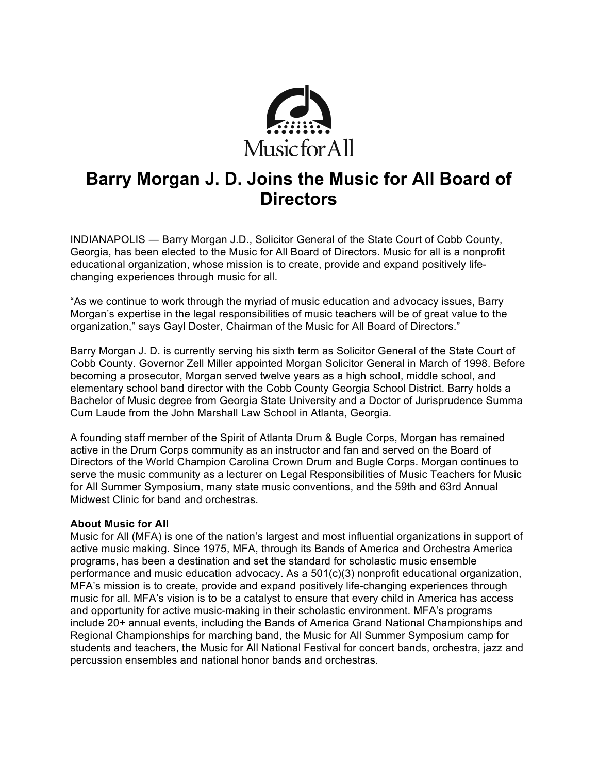

# **Barry Morgan J. D. Joins the Music for All Board of Directors**

INDIANAPOLIS ― Barry Morgan J.D., Solicitor General of the State Court of Cobb County, Georgia, has been elected to the Music for All Board of Directors. Music for all is a nonprofit educational organization, whose mission is to create, provide and expand positively lifechanging experiences through music for all.

"As we continue to work through the myriad of music education and advocacy issues, Barry Morgan's expertise in the legal responsibilities of music teachers will be of great value to the organization," says Gayl Doster, Chairman of the Music for All Board of Directors."

Barry Morgan J. D. is currently serving his sixth term as Solicitor General of the State Court of Cobb County. Governor Zell Miller appointed Morgan Solicitor General in March of 1998. Before becoming a prosecutor, Morgan served twelve years as a high school, middle school, and elementary school band director with the Cobb County Georgia School District. Barry holds a Bachelor of Music degree from Georgia State University and a Doctor of Jurisprudence Summa Cum Laude from the John Marshall Law School in Atlanta, Georgia.

A founding staff member of the Spirit of Atlanta Drum & Bugle Corps, Morgan has remained active in the Drum Corps community as an instructor and fan and served on the Board of Directors of the World Champion Carolina Crown Drum and Bugle Corps. Morgan continues to serve the music community as a lecturer on Legal Responsibilities of Music Teachers for Music for All Summer Symposium, many state music conventions, and the 59th and 63rd Annual Midwest Clinic for band and orchestras.

#### **About Music for All**

Music for All (MFA) is one of the nation's largest and most influential organizations in support of active music making. Since 1975, MFA, through its Bands of America and Orchestra America programs, has been a destination and set the standard for scholastic music ensemble performance and music education advocacy. As a 501(c)(3) nonprofit educational organization, MFA's mission is to create, provide and expand positively life-changing experiences through music for all. MFA's vision is to be a catalyst to ensure that every child in America has access and opportunity for active music-making in their scholastic environment. MFA's programs include 20+ annual events, including the Bands of America Grand National Championships and Regional Championships for marching band, the Music for All Summer Symposium camp for students and teachers, the Music for All National Festival for concert bands, orchestra, jazz and percussion ensembles and national honor bands and orchestras.